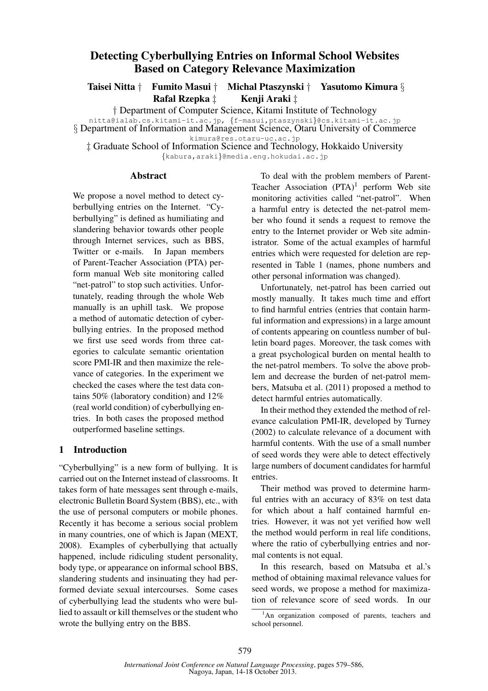# Detecting Cyberbullying Entries on Informal School Websites Based on Category Relevance Maximization

Taisei Nitta *†* Fumito Masui *†* Michal Ptaszynski *†* Yasutomo Kimura *§* **Rafal Rzepka**  $\ddagger$ 

*†* Department of Computer Science, Kitami Institute of Technology

nitta@ialab.cs.kitami-it.ac.jp, *{*f-masui,ptaszynski*}*@cs.kitami-it.ac.jp

*§* Department of Information and Management Science, Otaru University of Commerce

*‡* Graduate School of Information Science and Technology, Hokkaido University *{*kabura,araki*}*@media.eng.hokudai.ac.jp

### Abstract

We propose a novel method to detect cyberbullying entries on the Internet. "Cyberbullying" is defined as humiliating and slandering behavior towards other people through Internet services, such as BBS, Twitter or e-mails. In Japan members of Parent-Teacher Association (PTA) perform manual Web site monitoring called "net-patrol" to stop such activities. Unfortunately, reading through the whole Web manually is an uphill task. We propose a method of automatic detection of cyberbullying entries. In the proposed method we first use seed words from three categories to calculate semantic orientation score PMI-IR and then maximize the relevance of categories. In the experiment we checked the cases where the test data contains 50% (laboratory condition) and 12% (real world condition) of cyberbullying entries. In both cases the proposed method outperformed baseline settings.

# 1 Introduction

"Cyberbullying" is a new form of bullying. It is carried out on the Internet instead of classrooms. It takes form of hate messages sent through e-mails, electronic Bulletin Board System (BBS), etc., with the use of personal computers or mobile phones. Recently it has become a serious social problem in many countries, one of which is Japan (MEXT, 2008). Examples of cyberbullying that actually happened, include ridiculing student personality, body type, or appearance on informal school BBS, slandering students and insinuating they had performed deviate sexual intercourses. Some cases of cyberbullying lead the students who were bullied to assault or kill themselves or the student who wrote the bullying entry on the BBS.

To deal with the problem members of Parent-Teacher Association  $(PTA)^1$  perform Web site monitoring activities called "net-patrol". When a harmful entry is detected the net-patrol member who found it sends a request to remove the entry to the Internet provider or Web site administrator. Some of the actual examples of harmful entries which were requested for deletion are represented in Table 1 (names, phone numbers and other personal information was changed).

Unfortunately, net-patrol has been carried out mostly manually. It takes much time and effort to find harmful entries (entries that contain harmful information and expressions) in a large amount of contents appearing on countless number of bulletin board pages. Moreover, the task comes with a great psychological burden on mental health to the net-patrol members. To solve the above problem and decrease the burden of net-patrol members, Matsuba et al. (2011) proposed a method to detect harmful entries automatically.

In their method they extended the method of relevance calculation PMI-IR, developed by Turney (2002) to calculate relevance of a document with harmful contents. With the use of a small number of seed words they were able to detect effectively large numbers of document candidates for harmful entries.

Their method was proved to determine harmful entries with an accuracy of 83% on test data for which about a half contained harmful entries. However, it was not yet verified how well the method would perform in real life conditions, where the ratio of cyberbullying entries and normal contents is not equal.

In this research, based on Matsuba et al.'s method of obtaining maximal relevance values for seed words, we propose a method for maximization of relevance score of seed words. In our

kimura@res.otaru-uc.ac.jp

 ${}^{1}$ An organization composed of parents, teachers and school personnel.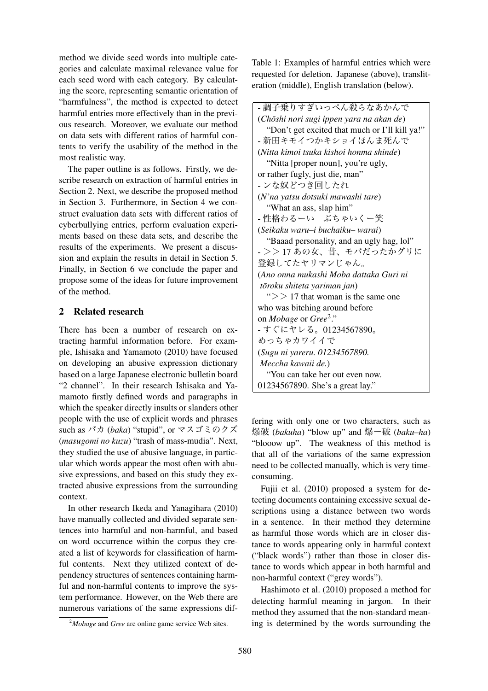method we divide seed words into multiple categories and calculate maximal relevance value for each seed word with each category. By calculating the score, representing semantic orientation of "harmfulness", the method is expected to detect harmful entries more effectively than in the previous research. Moreover, we evaluate our method on data sets with different ratios of harmful contents to verify the usability of the method in the most realistic way.

The paper outline is as follows. Firstly, we describe research on extraction of harmful entries in Section 2. Next, we describe the proposed method in Section 3. Furthermore, in Section 4 we construct evaluation data sets with different ratios of cyberbullying entries, perform evaluation experiments based on these data sets, and describe the results of the experiments. We present a discussion and explain the results in detail in Section 5. Finally, in Section 6 we conclude the paper and propose some of the ideas for future improvement of the method.

### 2 Related research

There has been a number of research on extracting harmful information before. For example, Ishisaka and Yamamoto (2010) have focused on developing an abusive expression dictionary based on a large Japanese electronic bulletin board "2 channel". In their research Ishisaka and Yamamoto firstly defined words and paragraphs in which the speaker directly insults or slanders other people with the use of explicit words and phrases such as バカ (*baka*) "stupid", or マスゴミのクズ (*masugomi no kuzu*) "trash of mass-mudia". Next, they studied the use of abusive language, in particular which words appear the most often with abusive expressions, and based on this study they extracted abusive expressions from the surrounding context.

In other research Ikeda and Yanagihara (2010) have manually collected and divided separate sentences into harmful and non-harmful, and based on word occurrence within the corpus they created a list of keywords for classification of harmful contents. Next they utilized context of dependency structures of sentences containing harmful and non-harmful contents to improve the system performance. However, on the Web there are numerous variations of the same expressions dif-

Table 1: Examples of harmful entries which were requested for deletion. Japanese (above), transliteration (middle), English translation (below).

| - 調子乗りすぎいっぺん殺らなあかんで                            |
|------------------------------------------------|
| (Chōshi nori sugi ippen yara na akan de)       |
| "Don't get excited that much or I'll kill ya!" |
| - 新田キモイつかキショイほんま死んで                            |
| (Nitta kimoi tsuka kishoi honma shinde)        |
| "Nitta [proper noun], you're ugly,             |
| or rather fugly, just die, man"                |
| - ンな奴どつき回したれ                                   |
| (N'na yatsu dotsuki mawashi tare)              |
| "What an ass, slap him"                        |
| - 性格わるーい ぶちゃいくー笑                               |
| (Seikaku waru-i buchaiku- warai)               |
| "Baaad personality, and an ugly hag, lol"      |
| - >>17あの女、昔、モバだったかグリに                          |
| 登録してたヤリマンじゃん。                                  |
| (Ano onna mukashi Moba dattaka Guri ni         |
| tōroku shiteta yariman jan)                    |
| " $>> 17$ that woman is the same one           |
| who was bitching around before                 |
| on Mobage or Gree <sup>2</sup> ."              |
| - すぐにヤレる。01234567890。                          |
| めっちゃカワイイで                                      |
| (Sugu ni yareru. 01234567890.                  |
| Meccha kawaii de.)                             |
| "You can take her out even now.                |
| 01234567890. She's a great lay."               |

fering with only one or two characters, such as 爆破 (*bakuha*) "blow up" and 爆ー破 (*baku–ha*) "blooow up". The weakness of this method is that all of the variations of the same expression need to be collected manually, which is very timeconsuming.

Fujii et al. (2010) proposed a system for detecting documents containing excessive sexual descriptions using a distance between two words in a sentence. In their method they determine as harmful those words which are in closer distance to words appearing only in harmful context ("black words") rather than those in closer distance to words which appear in both harmful and non-harmful context ("grey words").

Hashimoto et al. (2010) proposed a method for detecting harmful meaning in jargon. In their method they assumed that the non-standard meaning is determined by the words surrounding the

<sup>2</sup>*Mobage* and *Gree* are online game service Web sites.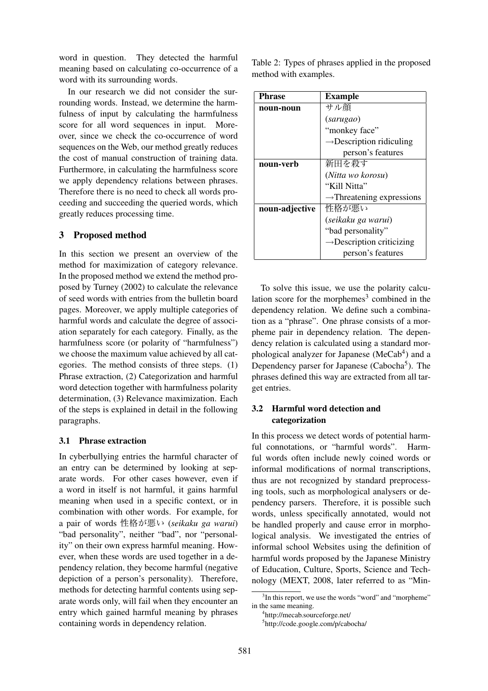word in question. They detected the harmful meaning based on calculating co-occurrence of a word with its surrounding words.

In our research we did not consider the surrounding words. Instead, we determine the harmfulness of input by calculating the harmfulness score for all word sequences in input. Moreover, since we check the co-occurrence of word sequences on the Web, our method greatly reduces the cost of manual construction of training data. Furthermore, in calculating the harmfulness score we apply dependency relations between phrases. Therefore there is no need to check all words proceeding and succeeding the queried words, which greatly reduces processing time.

# 3 Proposed method

In this section we present an overview of the method for maximization of category relevance. In the proposed method we extend the method proposed by Turney (2002) to calculate the relevance of seed words with entries from the bulletin board pages. Moreover, we apply multiple categories of harmful words and calculate the degree of association separately for each category. Finally, as the harmfulness score (or polarity of "harmfulness") we choose the maximum value achieved by all categories. The method consists of three steps. (1) Phrase extraction, (2) Categorization and harmful word detection together with harmfulness polarity determination, (3) Relevance maximization. Each of the steps is explained in detail in the following paragraphs.

## 3.1 Phrase extraction

In cyberbullying entries the harmful character of an entry can be determined by looking at separate words. For other cases however, even if a word in itself is not harmful, it gains harmful meaning when used in a specific context, or in combination with other words. For example, for a pair of words 性格が悪い (*seikaku ga warui*) "bad personality", neither "bad", nor "personality" on their own express harmful meaning. However, when these words are used together in a dependency relation, they become harmful (negative depiction of a person's personality). Therefore, methods for detecting harmful contents using separate words only, will fail when they encounter an entry which gained harmful meaning by phrases containing words in dependency relation.

Table 2: Types of phrases applied in the proposed method with examples.

| Phrase         | <b>Example</b>                        |  |  |
|----------------|---------------------------------------|--|--|
| noun-noun      | サル顔                                   |  |  |
|                | (sarugao)                             |  |  |
|                | "monkey face"                         |  |  |
|                | $\rightarrow$ Description ridiculing  |  |  |
|                | person's features                     |  |  |
| noun-verb      | 新田を殺す                                 |  |  |
|                | (Nitta wo korosu)                     |  |  |
|                | "Kill Nitta"                          |  |  |
|                | $\rightarrow$ Threatening expressions |  |  |
| noun-adjective | 性格が悪い                                 |  |  |
|                | (seikaku ga warui)                    |  |  |
|                | "bad personality"                     |  |  |
|                | $\rightarrow$ Description criticizing |  |  |
|                | person's features                     |  |  |

To solve this issue, we use the polarity calculation score for the morphemes<sup>3</sup> combined in the dependency relation. We define such a combination as a "phrase". One phrase consists of a morpheme pair in dependency relation. The dependency relation is calculated using a standard morphological analyzer for Japanese (MeCab<sup>4</sup>) and a Dependency parser for Japanese (Cabocha<sup>5</sup>). The phrases defined this way are extracted from all target entries.

# 3.2 Harmful word detection and categorization

In this process we detect words of potential harmful connotations, or "harmful words". Harmful words often include newly coined words or informal modifications of normal transcriptions, thus are not recognized by standard preprocessing tools, such as morphological analysers or dependency parsers. Therefore, it is possible such words, unless specifically annotated, would not be handled properly and cause error in morphological analysis. We investigated the entries of informal school Websites using the definition of harmful words proposed by the Japanese Ministry of Education, Culture, Sports, Science and Technology (MEXT, 2008, later referred to as "Min-

<sup>&</sup>lt;sup>3</sup>In this report, we use the words "word" and "morpheme" in the same meaning.

<sup>4</sup> http://mecab.sourceforge.net/

<sup>5</sup> http://code.google.com/p/cabocha/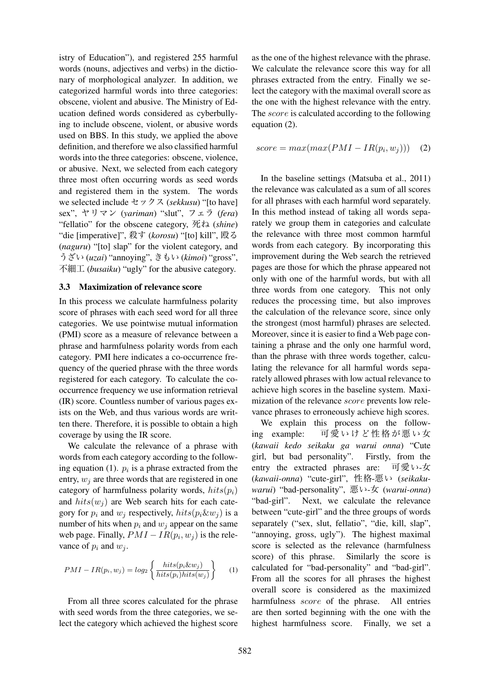istry of Education"), and registered 255 harmful words (nouns, adjectives and verbs) in the dictionary of morphological analyzer. In addition, we categorized harmful words into three categories: obscene, violent and abusive. The Ministry of Education defined words considered as cyberbullying to include obscene, violent, or abusive words used on BBS. In this study, we applied the above definition, and therefore we also classified harmful words into the three categories: obscene, violence, or abusive. Next, we selected from each category three most often occurring words as seed words and registered them in the system. The words we selected include セックス (*sekkusu*) "[to have] sex", ヤリマン (*yariman*) "slut", フェラ (*fera*) "fellatio" for the obscene category, 死ね (*shine*) "die [imperative]", 殺す (*korosu*) "[to] kill", 殴る (*naguru*) "[to] slap" for the violent category, and うざい (*uzai*) "annoying", きもい (*kimoi*) "gross", 不細工 (*busaiku*) "ugly" for the abusive category.

#### 3.3 Maximization of relevance score

In this process we calculate harmfulness polarity score of phrases with each seed word for all three categories. We use pointwise mutual information (PMI) score as a measure of relevance between a phrase and harmfulness polarity words from each category. PMI here indicates a co-occurrence frequency of the queried phrase with the three words registered for each category. To calculate the cooccurrence frequency we use information retrieval (IR) score. Countless number of various pages exists on the Web, and thus various words are written there. Therefore, it is possible to obtain a high coverage by using the IR score.

We calculate the relevance of a phrase with words from each category according to the following equation (1).  $p_i$  is a phrase extracted from the entry,  $w_j$  are three words that are registered in one category of harmfulness polarity words,  $hits(p_i)$ and  $hits(w_i)$  are Web search hits for each category for  $p_i$  and  $w_j$  respectively,  $hits(p_i \& w_j)$  is a number of hits when  $p_i$  and  $w_j$  appear on the same web page. Finally,  $PMI - IR(p_i, w_j)$  is the relevance of  $p_i$  and  $w_j$ .

$$
PMI - IR(p_i, w_j) = log_2 \left\{ \frac{hits(p_i \& w_j)}{hits(p_i) hits(w_j)} \right\}
$$
 (1)

From all three scores calculated for the phrase with seed words from the three categories, we select the category which achieved the highest score

as the one of the highest relevance with the phrase. We calculate the relevance score this way for all phrases extracted from the entry. Finally we select the category with the maximal overall score as the one with the highest relevance with the entry. The *score* is calculated according to the following equation (2).

$$
score = max(max(PMI - IR(p_i, w_j))) \quad (2)
$$

In the baseline settings (Matsuba et al., 2011) the relevance was calculated as a sum of all scores for all phrases with each harmful word separately. In this method instead of taking all words separately we group them in categories and calculate the relevance with three most common harmful words from each category. By incorporating this improvement during the Web search the retrieved pages are those for which the phrase appeared not only with one of the harmful words, but with all three words from one category. This not only reduces the processing time, but also improves the calculation of the relevance score, since only the strongest (most harmful) phrases are selected. Moreover, since it is easier to find a Web page containing a phrase and the only one harmful word, than the phrase with three words together, calculating the relevance for all harmful words separately allowed phrases with low actual relevance to achieve high scores in the baseline system. Maximization of the relevance *score* prevents low relevance phrases to erroneously achieve high scores.

We explain this process on the following example: 可愛いけど性格が悪い女 (*kawaii kedo seikaku ga warui onna*) "Cute girl, but bad personality". Firstly, from the entry the extracted phrases are: 可愛い-女 (*kawaii-onna*) "cute-girl", 性格-悪い (*seikakuwarui*) "bad-personality", 悪い-女 (*warui-onna*) "bad-girl". Next, we calculate the relevance between "cute-girl" and the three groups of words separately ("sex, slut, fellatio", "die, kill, slap", "annoying, gross, ugly"). The highest maximal score is selected as the relevance (harmfulness score) of this phrase. Similarly the score is calculated for "bad-personality" and "bad-girl". From all the scores for all phrases the highest overall score is considered as the maximized harmfulness *score* of the phrase. All entries are then sorted beginning with the one with the highest harmfulness score. Finally, we set a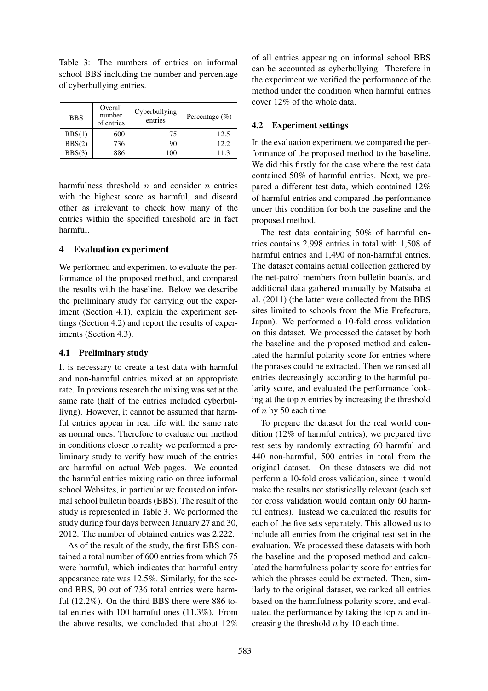Table 3: The numbers of entries on informal school BBS including the number and percentage of cyberbullying entries.

| <b>BBS</b> | Overall<br>number<br>of entries | Cyberbullying<br>entries | Percentage $(\% )$ |
|------------|---------------------------------|--------------------------|--------------------|
| BBS(1)     | 600                             | 75                       | 12.5               |
| BBS(2)     | 736                             | 90                       | 12.2.              |
| BBS(3)     | 886                             | 100                      | 11.3               |

harmfulness threshold *n* and consider *n* entries with the highest score as harmful, and discard other as irrelevant to check how many of the entries within the specified threshold are in fact harmful.

# 4 Evaluation experiment

We performed and experiment to evaluate the performance of the proposed method, and compared the results with the baseline. Below we describe the preliminary study for carrying out the experiment (Section 4.1), explain the experiment settings (Section 4.2) and report the results of experiments (Section 4.3).

## 4.1 Preliminary study

It is necessary to create a test data with harmful and non-harmful entries mixed at an appropriate rate. In previous research the mixing was set at the same rate (half of the entries included cyberbulliyng). However, it cannot be assumed that harmful entries appear in real life with the same rate as normal ones. Therefore to evaluate our method in conditions closer to reality we performed a preliminary study to verify how much of the entries are harmful on actual Web pages. We counted the harmful entries mixing ratio on three informal school Websites, in particular we focused on informal school bulletin boards (BBS). The result of the study is represented in Table 3. We performed the study during four days between January 27 and 30, 2012. The number of obtained entries was 2,222.

As of the result of the study, the first BBS contained a total number of 600 entries from which 75 were harmful, which indicates that harmful entry appearance rate was 12.5%. Similarly, for the second BBS, 90 out of 736 total entries were harmful (12.2%). On the third BBS there were 886 total entries with 100 harmful ones (11.3%). From the above results, we concluded that about 12%

of all entries appearing on informal school BBS can be accounted as cyberbullying. Therefore in the experiment we verified the performance of the method under the condition when harmful entries cover 12% of the whole data.

## 4.2 Experiment settings

In the evaluation experiment we compared the performance of the proposed method to the baseline. We did this firstly for the case where the test data contained 50% of harmful entries. Next, we prepared a different test data, which contained 12% of harmful entries and compared the performance under this condition for both the baseline and the proposed method.

The test data containing 50% of harmful entries contains 2,998 entries in total with 1,508 of harmful entries and 1,490 of non-harmful entries. The dataset contains actual collection gathered by the net-patrol members from bulletin boards, and additional data gathered manually by Matsuba et al. (2011) (the latter were collected from the BBS sites limited to schools from the Mie Prefecture, Japan). We performed a 10-fold cross validation on this dataset. We processed the dataset by both the baseline and the proposed method and calculated the harmful polarity score for entries where the phrases could be extracted. Then we ranked all entries decreasingly according to the harmful polarity score, and evaluated the performance looking at the top *n* entries by increasing the threshold of *n* by 50 each time.

To prepare the dataset for the real world condition (12% of harmful entries), we prepared five test sets by randomly extracting 60 harmful and 440 non-harmful, 500 entries in total from the original dataset. On these datasets we did not perform a 10-fold cross validation, since it would make the results not statistically relevant (each set for cross validation would contain only 60 harmful entries). Instead we calculated the results for each of the five sets separately. This allowed us to include all entries from the original test set in the evaluation. We processed these datasets with both the baseline and the proposed method and calculated the harmfulness polarity score for entries for which the phrases could be extracted. Then, similarly to the original dataset, we ranked all entries based on the harmfulness polarity score, and evaluated the performance by taking the top *n* and increasing the threshold *n* by 10 each time.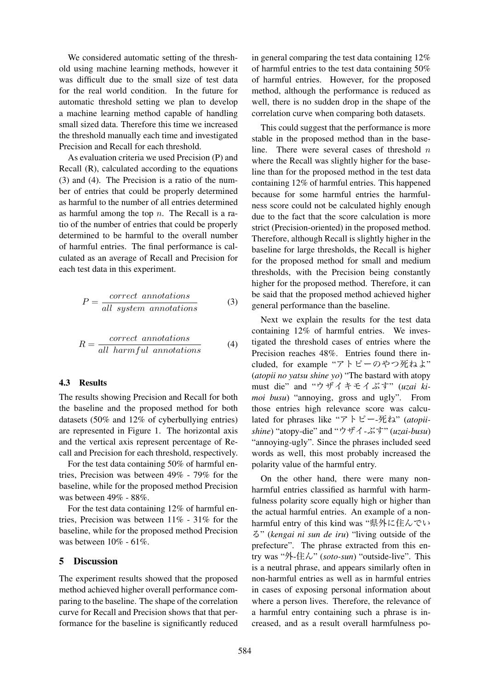We considered automatic setting of the threshold using machine learning methods, however it was difficult due to the small size of test data for the real world condition. In the future for automatic threshold setting we plan to develop a machine learning method capable of handling small sized data. Therefore this time we increased the threshold manually each time and investigated Precision and Recall for each threshold.

As evaluation criteria we used Precision (P) and Recall (R), calculated according to the equations (3) and (4). The Precision is a ratio of the number of entries that could be properly determined as harmful to the number of all entries determined as harmful among the top *n*. The Recall is a ratio of the number of entries that could be properly determined to be harmful to the overall number of harmful entries. The final performance is calculated as an average of Recall and Precision for each test data in this experiment.

$$
P = \frac{correct\ annotations}{all\ system\ annotations} \tag{3}
$$

$$
R = \frac{correct\ annotations}{all\ harmful\ annotations} \tag{4}
$$

#### 4.3 Results

The results showing Precision and Recall for both the baseline and the proposed method for both datasets (50% and 12% of cyberbullying entries) are represented in Figure 1. The horizontal axis and the vertical axis represent percentage of Recall and Precision for each threshold, respectively.

For the test data containing 50% of harmful entries, Precision was between 49% - 79% for the baseline, while for the proposed method Precision was between 49% - 88%.

For the test data containing 12% of harmful entries, Precision was between 11% - 31% for the baseline, while for the proposed method Precision was between 10% - 61%.

### 5 Discussion

The experiment results showed that the proposed method achieved higher overall performance comparing to the baseline. The shape of the correlation curve for Recall and Precision shows that that performance for the baseline is significantly reduced

in general comparing the test data containing 12% of harmful entries to the test data containing 50% of harmful entries. However, for the proposed method, although the performance is reduced as well, there is no sudden drop in the shape of the correlation curve when comparing both datasets.

This could suggest that the performance is more stable in the proposed method than in the baseline. There were several cases of threshold *n* where the Recall was slightly higher for the baseline than for the proposed method in the test data containing 12% of harmful entries. This happened because for some harmful entries the harmfulness score could not be calculated highly enough due to the fact that the score calculation is more strict (Precision-oriented) in the proposed method. Therefore, although Recall is slightly higher in the baseline for large thresholds, the Recall is higher for the proposed method for small and medium thresholds, with the Precision being constantly higher for the proposed method. Therefore, it can be said that the proposed method achieved higher general performance than the baseline.

Next we explain the results for the test data containing 12% of harmful entries. We investigated the threshold cases of entries where the Precision reaches 48%. Entries found there included, for example "アトピーのやつ死ねよ" (*atopii no yatsu shine yo*) "The bastard with atopy must die" and "ウザイキモイぶす" (*uzai kimoi busu*) "annoying, gross and ugly". From those entries high relevance score was calculated for phrases like "アトピー-死ね" (*atopiishine*) "atopy-die" and "ウザイ-ぶす" (*uzai-busu*) "annoying-ugly". Since the phrases included seed words as well, this most probably increased the polarity value of the harmful entry.

On the other hand, there were many nonharmful entries classified as harmful with harmfulness polarity score equally high or higher than the actual harmful entries. An example of a nonharmful entry of this kind was "県外に住んでい る" (*kengai ni sun de iru*) "living outside of the prefecture". The phrase extracted from this entry was "外-住ん" (*soto-sun*) "outside-live". This is a neutral phrase, and appears similarly often in non-harmful entries as well as in harmful entries in cases of exposing personal information about where a person lives. Therefore, the relevance of a harmful entry containing such a phrase is increased, and as a result overall harmfulness po-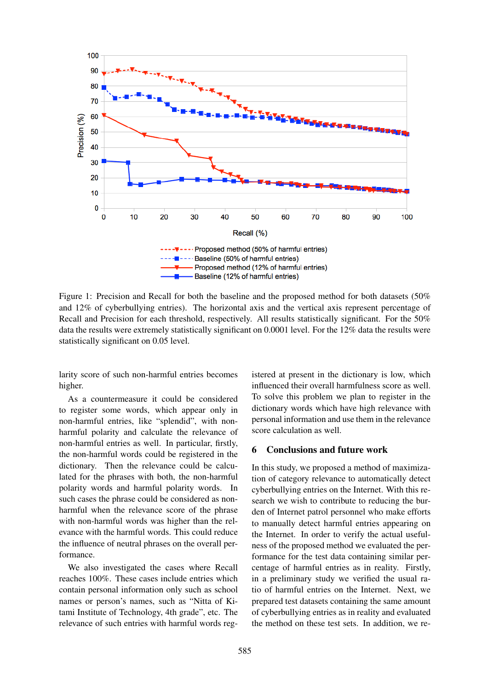

Figure 1: Precision and Recall for both the baseline and the proposed method for both datasets (50% and 12% of cyberbullying entries). The horizontal axis and the vertical axis represent percentage of Recall and Precision for each threshold, respectively. All results statistically significant. For the 50% data the results were extremely statistically significant on 0.0001 level. For the 12% data the results were statistically significant on 0.05 level.

larity score of such non-harmful entries becomes higher.

As a countermeasure it could be considered to register some words, which appear only in non-harmful entries, like "splendid", with nonharmful polarity and calculate the relevance of non-harmful entries as well. In particular, firstly, the non-harmful words could be registered in the dictionary. Then the relevance could be calculated for the phrases with both, the non-harmful polarity words and harmful polarity words. In such cases the phrase could be considered as nonharmful when the relevance score of the phrase with non-harmful words was higher than the relevance with the harmful words. This could reduce the influence of neutral phrases on the overall performance.

We also investigated the cases where Recall reaches 100%. These cases include entries which contain personal information only such as school names or person's names, such as "Nitta of Kitami Institute of Technology, 4th grade", etc. The relevance of such entries with harmful words reg-

istered at present in the dictionary is low, which influenced their overall harmfulness score as well. To solve this problem we plan to register in the dictionary words which have high relevance with personal information and use them in the relevance score calculation as well.

### 6 Conclusions and future work

In this study, we proposed a method of maximization of category relevance to automatically detect cyberbullying entries on the Internet. With this research we wish to contribute to reducing the burden of Internet patrol personnel who make efforts to manually detect harmful entries appearing on the Internet. In order to verify the actual usefulness of the proposed method we evaluated the performance for the test data containing similar percentage of harmful entries as in reality. Firstly, in a preliminary study we verified the usual ratio of harmful entries on the Internet. Next, we prepared test datasets containing the same amount of cyberbullying entries as in reality and evaluated the method on these test sets. In addition, we re